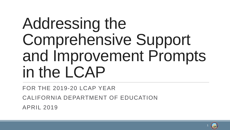# Addressing the Comprehensive Support and Improvement Prompts in the LCAP

FOR THE 2019-20 LCAP YEAR CALIFORNIA DEPARTMENT OF EDUCATION APRIL 2019

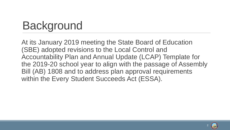# **Background**

 within the Every Student Succeeds Act (ESSA). At its January 2019 meeting the State Board of Education (SBE) adopted revisions to the Local Control and Accountability Plan and Annual Update (LCAP) Template for the 2019-20 school year to align with the passage of Assembly Bill (AB) 1808 and to address plan approval requirements

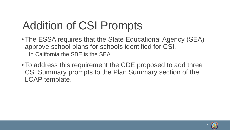# Addition of CSI Prompts

- ◦ In California the SBE is the SEA • The ESSA requires that the State Educational Agency (SEA) approve school plans for schools identified for CSI.
- To address this requirement the CDE proposed to add three CSI Summary prompts to the Plan Summary section of the LCAP template.

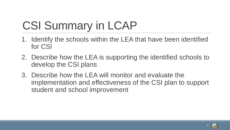# CSI Summary in LCAP

- 1. Identify the schools within the LEA that have been identified for CSI
- 2. Describe how the LEA is supporting the identified schools to develop the CSI plans
- 3. Describe how the LEA will monitor and evaluate the implementation and effectiveness of the CSI plan to support student and school improvement

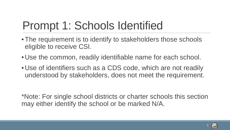### Prompt 1: Schools Identified

- The requirement is to identify to stakeholders those schools eligible to receive CSI.
- Use the common, readily identifiable name for each school.
- Use of identifiers such as a CDS code, which are not readily understood by stakeholders, does not meet the requirement.

\*Note: For single school districts or charter schools this section may either identify the school or be marked N/A.

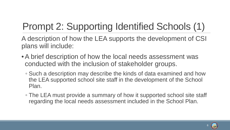#### Prompt 2: Supporting Identified Schools (1)

 A description of how the LEA supports the development of CSI plans will include:

- • A brief description of how the local needs assessment was conducted with the inclusion of stakeholder groups.
	- the LEA supported school site staff in the development of the School ◦ Such a description may describe the kinds of data examined and how Plan.
	- ◦ The LEA must provide a summary of how it supported school site staff regarding the local needs assessment included in the School Plan. 6

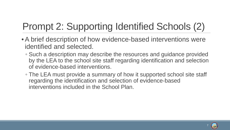#### Prompt 2: Supporting Identified Schools (2)

- • A brief description of how evidence-based interventions were identified and selected.
	- by the LEA to the school site staff regarding identification and selection ◦ Such a description may describe the resources and guidance provided of evidence-based interventions.
	- ◦ The LEA must provide a summary of how it supported school site staff interventions included in the School Plan. regarding the identification and selection of evidence-based

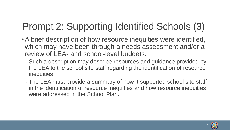#### Prompt 2: Supporting Identified Schools (3)

- • A brief description of how resource inequities were identified, which may have been through a needs assessment and/or a review of LEA- and school-level budgets.
	- the LEA to the school site staff regarding the identification of resource ◦ Such a description may describe resources and guidance provided by inequities.
	- ◦ The LEA must provide a summary of how it supported school site staff in the identification of resource inequities and how resource inequities were addressed in the School Plan.

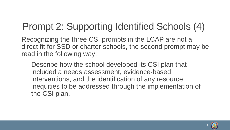#### Prompt 2: Supporting Identified Schools (4)

Recognizing the three CSI prompts in the LCAP are not a direct fit for SSD or charter schools, the second prompt may be read in the following way:

Describe how the school developed its CSI plan that included a needs assessment, evidence-based interventions, and the identification of any resource inequities to be addressed through the implementation of the CSI plan.



9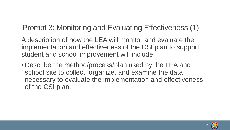#### Prompt 3: Monitoring and Evaluating Effectiveness (1)

 A description of how the LEA will monitor and evaluate the implementation and effectiveness of the CSI plan to support student and school improvement will include:

• Describe the method/process/plan used by the LEA and school site to collect, organize, and examine the data necessary to evaluate the implementation and effectiveness of the CSI plan.

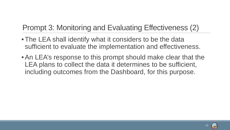#### Prompt 3: Monitoring and Evaluating Effectiveness (2)

- The LEA shall identify what it considers to be the data sufficient to evaluate the implementation and effectiveness.
- LEA plans to collect the data it determines to be sufficient, • An LEA's response to this prompt should make clear that the including outcomes from the Dashboard, for this purpose.

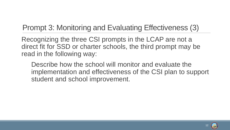#### Prompt 3: Monitoring and Evaluating Effectiveness (3)

Recognizing the three CSI prompts in the LCAP are not a direct fit for SSD or charter schools, the third prompt may be read in the following way:

Describe how the school will monitor and evaluate the implementation and effectiveness of the CSI plan to support student and school improvement.



12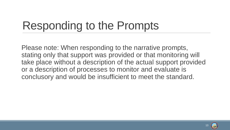#### Responding to the Prompts

 conclusory and would be insufficient to meet the standard. Please note: When responding to the narrative prompts, stating only that support was provided or that monitoring will take place without a description of the actual support provided or a description of processes to monitor and evaluate is

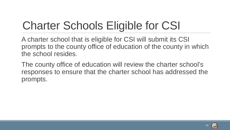# Charter Schools Eligible for CSI

 A charter school that is eligible for CSI will submit its CSI prompts to the county office of education of the county in which the school resides.

The county office of education will review the charter school's responses to ensure that the charter school has addressed the prompts.

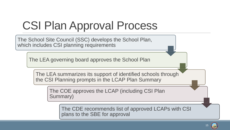# CSI Plan Approval Process

The School Site Council (SSC) develops the School Plan, which includes CSI planning requirements

The LEA governing board approves the School Plan

The LEA summarizes its support of identified schools through the CSI Planning prompts in the LCAP Plan Summary

The COE approves the LCAP (including CSI Plan Summary)

The CDE recommends list of approved LCAPs with CSI plans to the SBE for approval

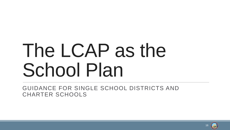# The LCAP as the School Plan

GUIDANCE FOR SINGLE SCHOOL DISTRICTS AND CHARTER SCHOOLS

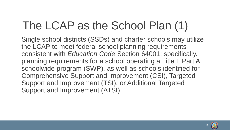# The LCAP as the School Plan (1)

 planning requirements for a school operating a Title I, Part A Single school districts (SSDs) and charter schools may utilize the LCAP to meet federal school planning requirements consistent with *Education Code* Section 64001; specifically, schoolwide program (SWP), as well as schools identified for Comprehensive Support and Improvement (CSI), Targeted Support and Improvement (TSI), or Additional Targeted Support and Improvement (ATSI).

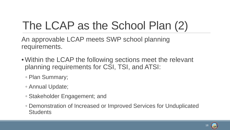# The LCAP as the School Plan (2)

An approvable LCAP meets SWP school planning requirements.

- Within the LCAP the following sections meet the relevant planning requirements for CSI, TSI, and ATSI:
	- Plan Summary;
	- Annual Update;
	- Stakeholder Engagement; and
	- Demonstration of Increased or Improved Services for Unduplicated **Students**

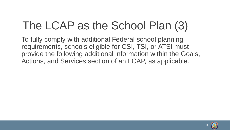# The LCAP as the School Plan (3)

 To fully comply with additional Federal school planning requirements, schools eligible for CSI, TSI, or ATSI must provide the following additional information within the Goals, Actions, and Services section of an LCAP, as applicable.

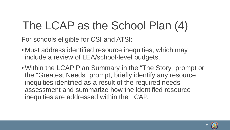# The LCAP as the School Plan (4)

For schools eligible for CSI and ATSI:

- include a review of LEA/school-level budgets. • Must address identified resource inequities, which may
- Within the LCAP Plan Summary in the "The Story" prompt or the "Greatest Needs" prompt, briefly identify any resource inequities identified as a result of the required needs assessment and summarize how the identified resource inequities are addressed within the LCAP.

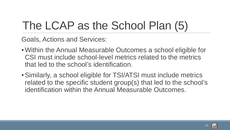# The LCAP as the School Plan (5)

Goals, Actions and Services:

- Within the Annual Measurable Outcomes a school eligible for CSI must include school-level metrics related to the metrics that led to the school's identification.
- Similarly, a school eligible for TSI/ATSI must include metrics related to the specific student group(s) that led to the school's identification within the Annual Measurable Outcomes.

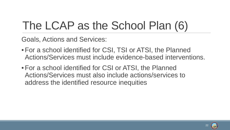# The LCAP as the School Plan (6)

Goals, Actions and Services:

- For a school identified for CSI, TSI or ATSI, the Planned Actions/Services must include evidence-based interventions.
- For a school identified for CSI or ATSI, the Planned Actions/Services must also include actions/services to address the identified resource inequities

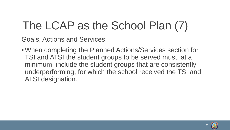# The LCAP as the School Plan (7)

Goals, Actions and Services:

• When completing the Planned Actions/Services section for TSI and ATSI the student groups to be served must, at a minimum, include the student groups that are consistently underperforming, for which the school received the TSI and ATSI designation.

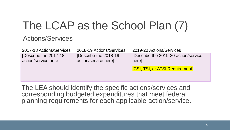### The LCAP as the School Plan (7)

#### Actions/Services

2017-18 Actions/Services [Describe the 2017-18 action/service here]

2018-19 Actions/Services [Describe the 2018-19 action/service here]

2019-20 Actions/Services [Describe the 2019-20 action/service here]

[CSI, TSI, or ATSI Requirement]

The LEA should identify the specific actions/services and corresponding budgeted expenditures that meet federal planning requirements for each applicable action/service.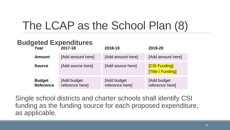### The LCAP as the School Plan (8)

#### **Budgeted Expenditures**

| Year                              | 2017-18                        | 2018-19                        | 2019-20                                         |
|-----------------------------------|--------------------------------|--------------------------------|-------------------------------------------------|
| <b>Amount</b>                     | [Add amount here]              | [Add amount here]              | [Add amount here]                               |
| <b>Source</b>                     | [Add source here]              | [Add source here]              | <b>[CSI Funding]</b><br><b>Title I Funding]</b> |
| <b>Budget</b><br><b>Reference</b> | [Add budget<br>reference here] | [Add budget<br>reference here] | [Add budget<br>reference here]                  |

Single school districts and charter schools shall identify CSI funding as the funding source for each proposed expenditure, as applicable.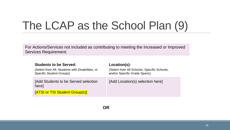### The LCAP as the School Plan (9)

For Actions/Services not included as contributing to meeting the Increased or Improved Services Requirement:

| <b>Students to be Served:</b>                                                       | Location(s):                                                                 |  |
|-------------------------------------------------------------------------------------|------------------------------------------------------------------------------|--|
| (Select from All, Students with Disabilities, or<br><b>Specific Student Groups)</b> | (Select from All Schools, Specific Schools,<br>and/or Specific Grade Spans): |  |
| [Add Students to be Served selection]<br>here]                                      | [Add Location(s) selection here]                                             |  |
| [ATSI or TSI Student Group(s)]                                                      |                                                                              |  |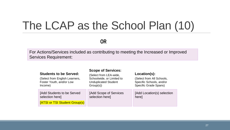#### The LCAP as the School Plan (10)

**OR** 

For Actions/Services included as contributing to meeting the Increased or Improved Services Requirement:

| <b>Students to be Served:</b><br>(Select from English Learners,<br>Foster Youth, and/or Low<br>Income) | <b>Scope of Services:</b><br>(Select from LEA-wide,<br>Schoolwide, or Limited to<br><b>Unduplicated Student</b><br>Group(s) | Location(s):<br>(Select from All Schools,<br>Specific Schools, and/or<br><b>Specific Grade Spans)</b> |
|--------------------------------------------------------------------------------------------------------|-----------------------------------------------------------------------------------------------------------------------------|-------------------------------------------------------------------------------------------------------|
| [Add Students to be Served<br>selection here]                                                          | [Add Scope of Services]<br>selection here]                                                                                  | [Add Location(s) selection<br>here]                                                                   |
| <b>[ATSI or TSI Student Group(s)</b>                                                                   |                                                                                                                             |                                                                                                       |